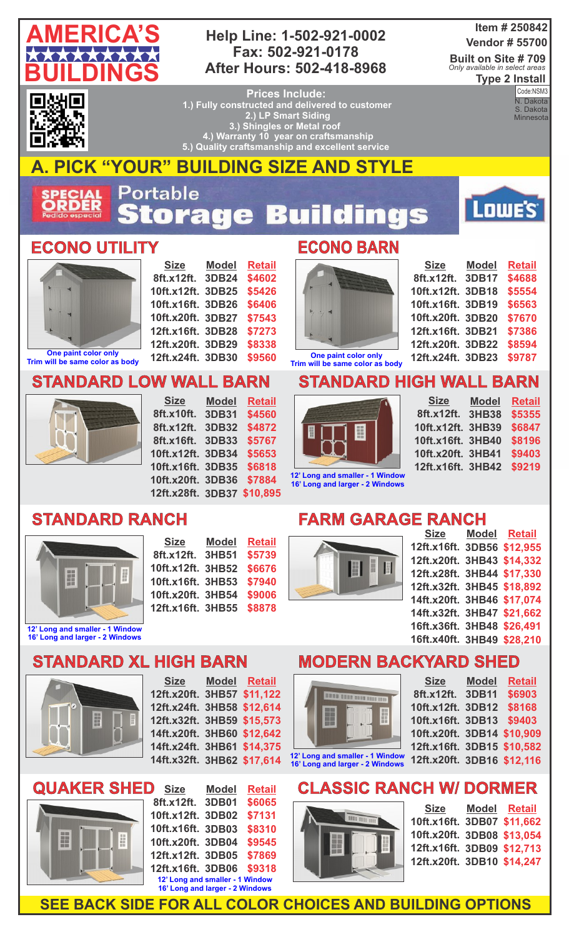

#### **Help Line: 1-502-921-0002 Fax: 502-921-0178 After Hours: 502-418-8968**

#### **Item # 250842 Vendor # 55700**

**Built on Site # 709 Type 2 Install** *Only available in select areas*



**Prices Include: 1.) Fully constructed and delivered to customer 2.) LP Smart Siding 3.) Shingles or Metal roof 4.) Warranty 10 year on craftsmanship 5.) Quality craftsmanship and excellent service** 

**Code:**<br>N. Dakota S. Dakota **Minnesota** Code:NSM3

**AMERICA'S CONSTRUCTION** 

Lowe's<sup>®</sup>

# **A. PICK "YOUR" BUILDING SIZE AND STYLE**

Portable **ECIAL**<br>RDER tora 53  $\mathbf{e}$ nds ÷

### **ECONO UTILITY ECONO BARN**



**Trim will be same color as body**

**Size 8ft.x12ft. 3DB24 10ft.x12ft. 3DB25 10ft.x16ft. 3DB26 10ft.x20ft. 3DB27 12ft.x16ft. 3DB28 12ft.x20ft. 3DB29 12ft.x24ft. 3DB30 Model Retail \$4602 \$5426 \$6406 \$7543 \$7273 \$8338 \$9560**

> **Model 3DB31**

**Retail \$4560 \$4872 \$5767 \$5653 \$6818**



| <b>Size</b>       | <b>Model</b> | <b>Retail</b> |
|-------------------|--------------|---------------|
| 8ft.x12ft.        | 3DB17        | \$4688        |
| 10ft.x12ft.       | <b>3DB18</b> | \$5554        |
| 10ft.x16ft.       | 3DB19        | \$6563        |
| 10ft.x20ft. 3DB20 |              | \$7670        |
| 12ft.x16ft. 3DB21 |              | \$7386        |
| 12ft.x20ft. 3DB22 |              | \$8594        |
| 12ft.x24ft. 3DB23 |              | \$9787        |

**One paint color only Trim will be same color as body**

## **STANDARD HIGH WALL BARN**



**Size 8ft.x12ft. 3HB38 10ft.x12ft. 3HB39 10ft.x16ft. 3HB40 10ft.x20ft. 3HB41 12ft.x16ft. 3HB42 Model Retail \$5355 \$6847 \$8196 \$9403 \$9219**

**16' Long a** 

|  | nd larger - 2 Windows |  |  |  |  |
|--|-----------------------|--|--|--|--|
|  | .                     |  |  |  |  |

## **STANDARD RANCH**



**16' Long and larger - 2 Windows**

| <b>Size</b>       | Model        | <b>Retail</b> |
|-------------------|--------------|---------------|
| 8ft.x12ft.        | <b>3HB51</b> | \$5739        |
| 10ft.x12ft.       | <b>3HB52</b> | \$6676        |
| 10ft.x16ft. 3HB53 |              | \$7940        |
| 10ft.x20ft. 3HB54 |              | \$9006        |
| 12ft.x16ft. 3HB55 |              | \$8878        |

**10ft.x20ft. 3DB36 \$7884 12ft.x28ft. 3DB37 \$10,895**

## **FARM GARAGE RANCH**



| Size Model Retail          |  |
|----------------------------|--|
| 12ft.x16ft. 3DB56 \$12,955 |  |
| 12ft.x20ft. 3HB43 \$14,332 |  |
| 12ft.x28ft. 3HB44 \$17,330 |  |
| 12ft.x32ft. 3HB45 \$18,892 |  |
| 14ft.x20ft. 3HB46 \$17,074 |  |
| 14ft.x32ft. 3HB47 \$21,662 |  |
| 16ft.x36ft. 3HB48 \$26,491 |  |
| 16ft.x40ft. 3HB49 \$28,210 |  |
|                            |  |

## **STANDARD XL HIGH BARN**

**STANDARD LOW WALL BARN**

**Size 8ft.x10ft.**

**8ft.x12ft. 3DB32 8ft.x16ft. 3DB33 10ft.x12ft. 3DB34 10ft.x16ft. 3DB35**



**Size 12ft.x20ft. 3HB57 \$11,122 12ft.x24ft. 3HB58 \$12,614 12ft.x32ft. 3HB59 \$15,573 14ft.x20ft. 3HB60 \$12,642 14ft.x24ft. 3HB61 \$14,375 14ft.x32ft. 3HB62 \$17,614 Model Retail**



| <b>Size</b>                     | <b>Model</b> | <b>Retail</b> |
|---------------------------------|--------------|---------------|
| 8ft.x12ft.                      | 3DB01        | \$6065        |
| 10ft.x12ft.                     | 3DB02        | \$7131        |
| 10ft.x16ft.                     | <b>3DB03</b> | \$8310        |
| 10ft.x20ft. 3DB04               |              | \$9545        |
| 12ft.x12ft. 3DB05               |              | \$7869        |
| 12ft.x16ft. 3DB06               |              | \$9318        |
| 12' Long and smaller - 1 Window |              |               |
| 16' Long and larger - 2 Windows |              |               |

#### **MODERN BACKYARD SHED 16ft.x40ft.**



**16' Long and larger - 2 Windows**

| <b>Size</b>                | <b>Model</b> | <b>Retail</b> |
|----------------------------|--------------|---------------|
| 8ft.x12ft.                 | <b>3DB11</b> | \$6903        |
| 10ft.x12ft.                | <b>3DB12</b> | \$8168        |
| 10ft.x16ft. 3DB13          |              | \$9403        |
| 10ft.x20ft. 3DB14 \$10,909 |              |               |
| 12ft.x16ft. 3DB15 \$10,582 |              |               |
| 12ft.x20ft. 3DB16 \$12,116 |              |               |
|                            |              |               |

# **CLASSIC RANCH W/ DORMER**



**SEE BACK SIDE FOR ALL COLOR CHOICES AND BUILDING OPTIONS**

| 10ft.x16ft. 3DB07 \$11,662<br>10ft.x20ft. 3DB08 \$13,054<br>12ft.x16ft. 3DB09 \$12,713 |  |
|----------------------------------------------------------------------------------------|--|
| 12ft.x20ft. 3DB10 \$14,247                                                             |  |